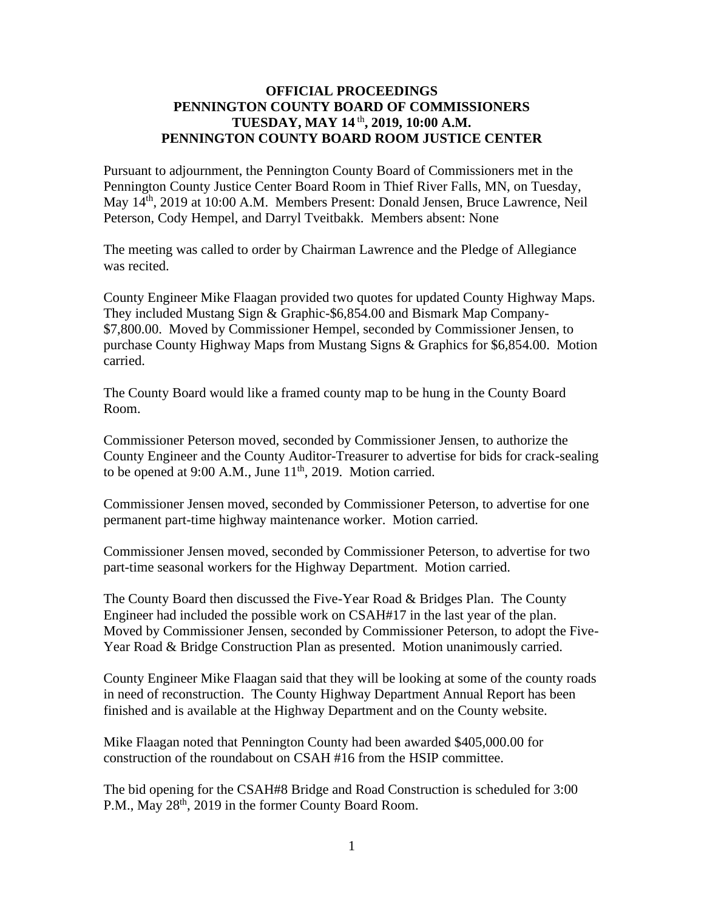## **OFFICIAL PROCEEDINGS PENNINGTON COUNTY BOARD OF COMMISSIONERS TUESDAY, MAY 14** th **, 2019, 10:00 A.M. PENNINGTON COUNTY BOARD ROOM JUSTICE CENTER**

Pursuant to adjournment, the Pennington County Board of Commissioners met in the Pennington County Justice Center Board Room in Thief River Falls, MN, on Tuesday, May 14th, 2019 at 10:00 A.M. Members Present: Donald Jensen, Bruce Lawrence, Neil Peterson, Cody Hempel, and Darryl Tveitbakk. Members absent: None

The meeting was called to order by Chairman Lawrence and the Pledge of Allegiance was recited.

County Engineer Mike Flaagan provided two quotes for updated County Highway Maps. They included Mustang Sign & Graphic-\$6,854.00 and Bismark Map Company- \$7,800.00. Moved by Commissioner Hempel, seconded by Commissioner Jensen, to purchase County Highway Maps from Mustang Signs & Graphics for \$6,854.00. Motion carried.

The County Board would like a framed county map to be hung in the County Board Room.

Commissioner Peterson moved, seconded by Commissioner Jensen, to authorize the County Engineer and the County Auditor-Treasurer to advertise for bids for crack-sealing to be opened at 9:00 A.M., June  $11<sup>th</sup>$ , 2019. Motion carried.

Commissioner Jensen moved, seconded by Commissioner Peterson, to advertise for one permanent part-time highway maintenance worker. Motion carried.

Commissioner Jensen moved, seconded by Commissioner Peterson, to advertise for two part-time seasonal workers for the Highway Department. Motion carried.

The County Board then discussed the Five-Year Road & Bridges Plan. The County Engineer had included the possible work on CSAH#17 in the last year of the plan. Moved by Commissioner Jensen, seconded by Commissioner Peterson, to adopt the Five-Year Road & Bridge Construction Plan as presented. Motion unanimously carried.

County Engineer Mike Flaagan said that they will be looking at some of the county roads in need of reconstruction. The County Highway Department Annual Report has been finished and is available at the Highway Department and on the County website.

Mike Flaagan noted that Pennington County had been awarded \$405,000.00 for construction of the roundabout on CSAH #16 from the HSIP committee.

The bid opening for the CSAH#8 Bridge and Road Construction is scheduled for 3:00 P.M., May 28<sup>th</sup>, 2019 in the former County Board Room.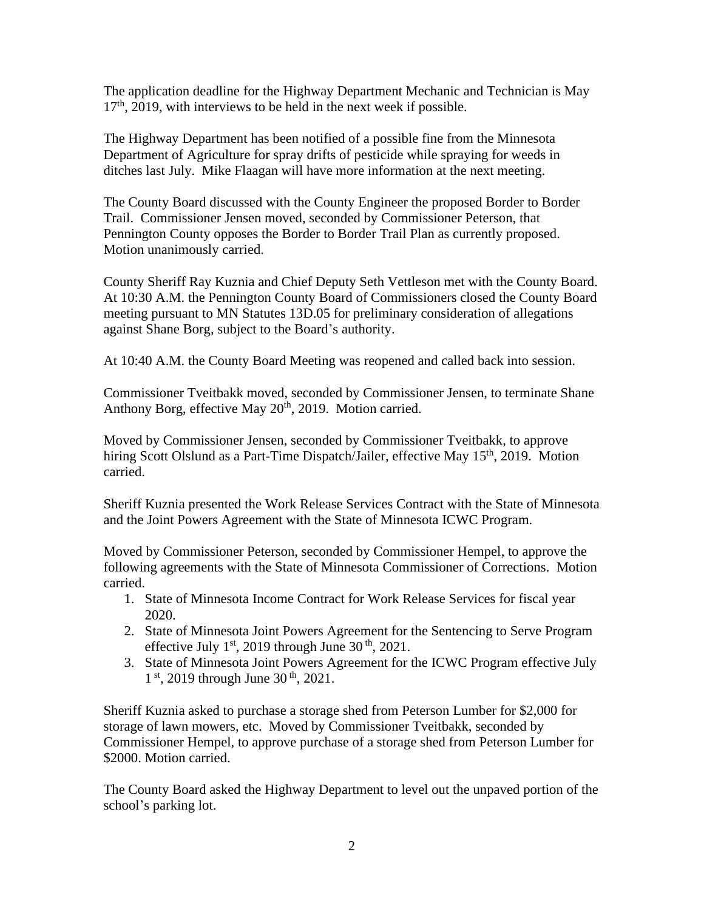The application deadline for the Highway Department Mechanic and Technician is May 17<sup>th</sup>, 2019, with interviews to be held in the next week if possible.

The Highway Department has been notified of a possible fine from the Minnesota Department of Agriculture for spray drifts of pesticide while spraying for weeds in ditches last July. Mike Flaagan will have more information at the next meeting.

The County Board discussed with the County Engineer the proposed Border to Border Trail. Commissioner Jensen moved, seconded by Commissioner Peterson, that Pennington County opposes the Border to Border Trail Plan as currently proposed. Motion unanimously carried.

County Sheriff Ray Kuznia and Chief Deputy Seth Vettleson met with the County Board. At 10:30 A.M. the Pennington County Board of Commissioners closed the County Board meeting pursuant to MN Statutes 13D.05 for preliminary consideration of allegations against Shane Borg, subject to the Board's authority.

At 10:40 A.M. the County Board Meeting was reopened and called back into session.

Commissioner Tveitbakk moved, seconded by Commissioner Jensen, to terminate Shane Anthony Borg, effective May  $20<sup>th</sup>$ , 2019. Motion carried.

Moved by Commissioner Jensen, seconded by Commissioner Tveitbakk, to approve hiring Scott Olslund as a Part-Time Dispatch/Jailer, effective May 15<sup>th</sup>, 2019. Motion carried.

Sheriff Kuznia presented the Work Release Services Contract with the State of Minnesota and the Joint Powers Agreement with the State of Minnesota ICWC Program.

Moved by Commissioner Peterson, seconded by Commissioner Hempel, to approve the following agreements with the State of Minnesota Commissioner of Corrections. Motion carried.

- 1. State of Minnesota Income Contract for Work Release Services for fiscal year 2020.
- 2. State of Minnesota Joint Powers Agreement for the Sentencing to Serve Program effective July 1<sup>st</sup>, 2019 through June 30<sup>th</sup>, 2021.
- 3. State of Minnesota Joint Powers Agreement for the ICWC Program effective July  $1<sup>st</sup>$ , 2019 through June 30<sup>th</sup>, 2021.

Sheriff Kuznia asked to purchase a storage shed from Peterson Lumber for \$2,000 for storage of lawn mowers, etc. Moved by Commissioner Tveitbakk, seconded by Commissioner Hempel, to approve purchase of a storage shed from Peterson Lumber for \$2000. Motion carried.

The County Board asked the Highway Department to level out the unpaved portion of the school's parking lot.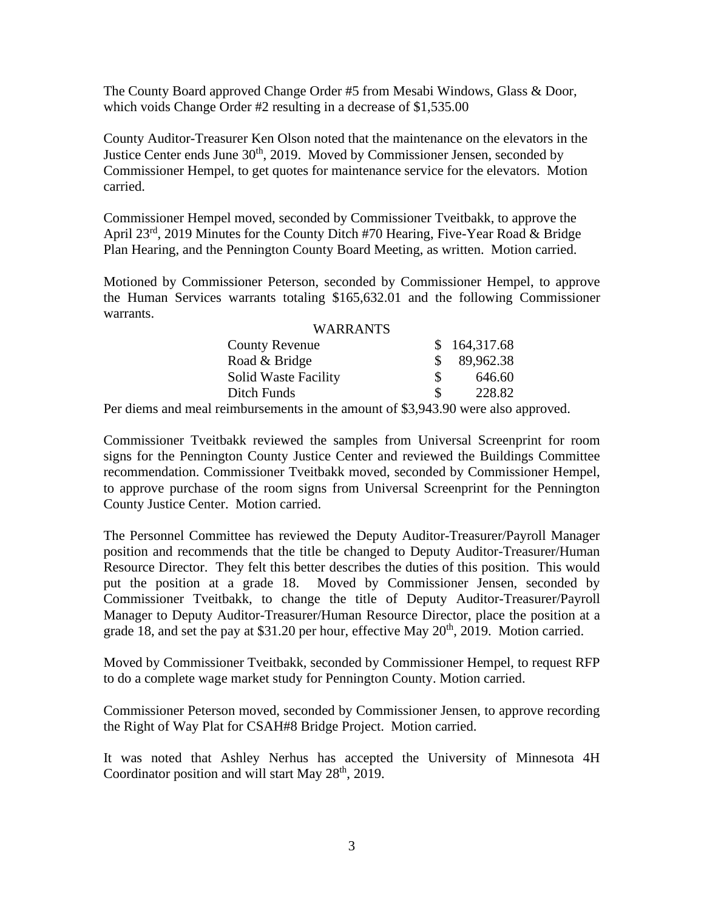The County Board approved Change Order #5 from Mesabi Windows, Glass & Door, which voids Change Order #2 resulting in a decrease of \$1,535.00

County Auditor-Treasurer Ken Olson noted that the maintenance on the elevators in the Justice Center ends June 30<sup>th</sup>, 2019. Moved by Commissioner Jensen, seconded by Commissioner Hempel, to get quotes for maintenance service for the elevators. Motion carried.

Commissioner Hempel moved, seconded by Commissioner Tveitbakk, to approve the April 23<sup>rd</sup>, 2019 Minutes for the County Ditch #70 Hearing, Five-Year Road & Bridge Plan Hearing, and the Pennington County Board Meeting, as written. Motion carried.

Motioned by Commissioner Peterson, seconded by Commissioner Hempel, to approve the Human Services warrants totaling \$165,632.01 and the following Commissioner warrants.

| <b>WARRANTS</b>             |               |              |
|-----------------------------|---------------|--------------|
| <b>County Revenue</b>       |               | \$164,317.68 |
| Road & Bridge               | SS.           | 89,962.38    |
| <b>Solid Waste Facility</b> |               | 646.60       |
| Ditch Funds                 | <sup>\$</sup> | 228.82       |

Per diems and meal reimbursements in the amount of \$3,943.90 were also approved.

Commissioner Tveitbakk reviewed the samples from Universal Screenprint for room signs for the Pennington County Justice Center and reviewed the Buildings Committee recommendation. Commissioner Tveitbakk moved, seconded by Commissioner Hempel, to approve purchase of the room signs from Universal Screenprint for the Pennington County Justice Center. Motion carried.

The Personnel Committee has reviewed the Deputy Auditor-Treasurer/Payroll Manager position and recommends that the title be changed to Deputy Auditor-Treasurer/Human Resource Director. They felt this better describes the duties of this position. This would put the position at a grade 18. Moved by Commissioner Jensen, seconded by Commissioner Tveitbakk, to change the title of Deputy Auditor-Treasurer/Payroll Manager to Deputy Auditor-Treasurer/Human Resource Director, place the position at a grade 18, and set the pay at \$31.20 per hour, effective May  $20<sup>th</sup>$ , 2019. Motion carried.

Moved by Commissioner Tveitbakk, seconded by Commissioner Hempel, to request RFP to do a complete wage market study for Pennington County. Motion carried.

Commissioner Peterson moved, seconded by Commissioner Jensen, to approve recording the Right of Way Plat for CSAH#8 Bridge Project. Motion carried.

It was noted that Ashley Nerhus has accepted the University of Minnesota 4H Coordinator position and will start May  $28<sup>th</sup>$ , 2019.